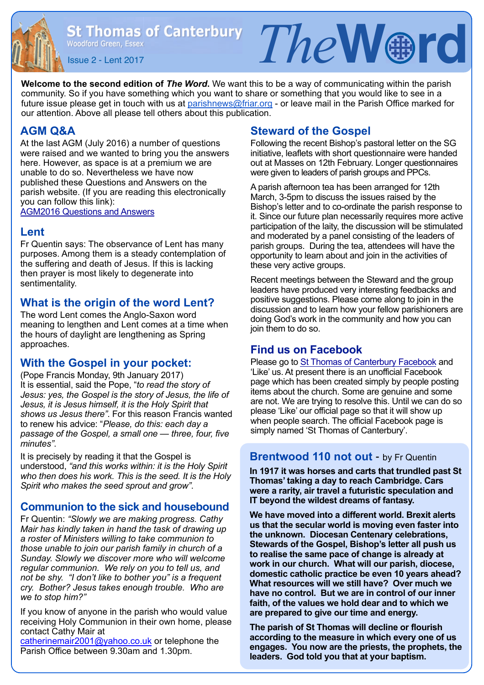St Thomas of Canterbury  $Tne$   $\mathbb{R}$   $\mathbb{R}$   $\mathbb{R}$   $\mathbb{R}$   $\mathbb{R}$ 

**Welcome to the second edition of** *The Word***.** We want this to be a way of communicating within the parish community. So if you have something which you want to share or something that you would like to see in a future issue please get in touch with us at [parishnews@friar.org](mailto:parishnews@friar.org) - or leave mail in the Parish Office marked for our attention. Above all please tell others about this publication.

## **AGM Q&A**

At the last AGM (July 2016) a number of questions were raised and we wanted to bring you the answers here. However, as space is at a premium we are unable to do so. Nevertheless we have now published these Questions and Answers on the parish website. (If you are reading this electronically you can follow this link):

[AGM2016 Questions and Answers](http://www.stthomaswoodford.org/parish/images/AGM%202016%20Questions%20and%20Answers.pdf)

### **Lent**

Fr Quentin says: The observance of Lent has many purposes. Among them is a steady contemplation of the suffering and death of Jesus. If this is lacking then prayer is most likely to degenerate into sentimentality.

## **What is the origin of the word Lent?**

The word Lent comes the Anglo-Saxon word meaning to lengthen and Lent comes at a time when the hours of daylight are lengthening as Spring approaches.

## **With the Gospel in your pocket:**

(Pope Francis Monday, 9th January 2017) It is essential, said the Pope, "*to read the story of Jesus: yes, the Gospel is the story of Jesus, the life of Jesus, it is Jesus himself, it is the Holy Spirit that shows us Jesus there"*. For this reason Francis wanted to renew his advice: "*Please, do this: each day a passage of the Gospel, a small one — three, four, five minutes"*.

It is precisely by reading it that the Gospel is understood, *"and this works within: it is the Holy Spirit who then does his work. This is the seed. It is the Holy Spirit who makes the seed sprout and grow"*.

## **Communion to the sick and housebound**

Fr Quentin: *"Slowly we are making progress. Cathy Mair has kindly taken in hand the task of drawing up a roster of Ministers willing to take communion to those unable to join our parish family in church of a Sunday. Slowly we discover more who will welcome regular communion. We rely on you to tell us, and not be shy. "I don't like to bother you" is a frequent cry. Bother? Jesus takes enough trouble. Who are we to stop him?"* 

If you know of anyone in the parish who would value receiving Holy Communion in their own home, please contact Cathy Mair at

[catherinemair2001@yahoo.co.uk](mailto:catherinemair2001@yahoo.co.uk) or telephone the Parish Office between 9.30am and 1.30pm.

## **Steward of the Gospel**

Following the recent Bishop's pastoral letter on the SG initiative, leaflets with short questionnaire were handed out at Masses on 12th February. Longer questionnaires were given to leaders of parish groups and PPCs.

A parish afternoon tea has been arranged for 12th March, 3-5pm to discuss the issues raised by the Bishop's letter and to co-ordinate the parish response to it. Since our future plan necessarily requires more active participation of the laity, the discussion will be stimulated and moderated by a panel consisting of the leaders of parish groups. During the tea, attendees will have the opportunity to learn about and join in the activities of these very active groups.

Recent meetings between the Steward and the group leaders have produced very interesting feedbacks and positive suggestions. Please come along to join in the discussion and to learn how your fellow parishioners are doing God's work in the community and how you can join them to do so.

## **Find us on Facebook**

Please go to [St Thomas of Canterbury Facebook](https://www.facebook.com/StThomasOfCanterburyChurch) and 'Like' us. At present there is an unofficial Facebook page which has been created simply by people posting items about the church. Some are genuine and some are not. We are trying to resolve this. Until we can do so please 'Like' our official page so that it will show up when people search. The official Facebook page is simply named 'St Thomas of Canterbury'.

## **Brentwood 110 not out** - by Fr Quentin

**In 1917 it was horses and carts that trundled past St Thomas' taking a day to reach Cambridge. Cars were a rarity, air travel a futuristic speculation and IT beyond the wildest dreams of fantasy.** 

**We have moved into a different world. Brexit alerts us that the secular world is moving even faster into the unknown. Diocesan Centenary celebrations, Stewards of the Gospel, Bishop's letter all push us to realise the same pace of change is already at work in our church. What will our parish, diocese, domestic catholic practice be even 10 years ahead? What resources will we still have? Over much we have no control. But we are in control of our inner faith, of the values we hold dear and to which we are prepared to give our time and energy.** 

**The parish of St Thomas will decline or flourish according to the measure in which every one of us engages. You now are the priests, the prophets, the leaders. God told you that at your baptism.**